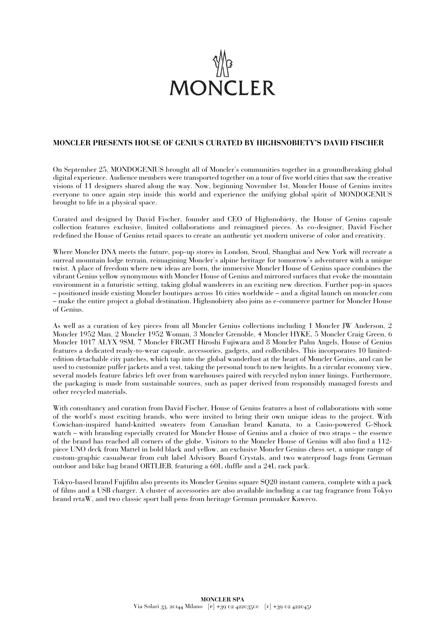

## **MONCLER PRESENTS HOUSE OF GENIUS CURATED BY HIGHSNOBIETY'S DAVID FISCHER**

On September 25, MONDOGENIUS brought all of Moncler's communities together in a groundbreaking global digital experience. Audience members were transported together on a tour of five world cities that saw the creative visions of 11 designers shared along the way. Now, beginning November 1st, Moncler House of Genius invites everyone to once again step inside this world and experience the unifying global spirit of MONDOGENIUS brought to life in a physical space.

Curated and designed by David Fischer, founder and CEO of Highsnobiety, the House of Genius capsule collection features exclusive, limited collaborations and reimagined pieces. As co-designer, David Fischer redefined the House of Genius retail spaces to create an authentic yet modern universe of color and creativity.

Where Moncler DNA meets the future, pop-up stores in London, Seoul, Shanghai and New York will recreate a surreal mountain lodge terrain, reimagining Moncler's alpine heritage for tomorrow's adventurer with a unique twist. A place of freedom where new ideas are born, the immersive Moncler House of Genius space combines the vibrant Genius yellow synonymous with Moncler House of Genius and mirrored surfaces that evoke the mountain environment in a futuristic setting, taking global wanderers in an exciting new direction. Further pop-in spaces – positioned inside existing Moncler boutiques across 16 cities worldwide – and a digital launch on moncler.com – make the entire project a global destination. Highsnobiety also joins as e-commerce partner for Moncler House of Genius.

As well as a curation of key pieces from all Moncler Genius collections including 1 Moncler JW Anderson, 2 Moncler 1952 Man, 2 Moncler 1952 Woman, 3 Moncler Grenoble, 4 Moncler HYKE, 5 Moncler Craig Green, 6 Moncler 1017 ALYX 9SM, 7 Moncler FRGMT Hiroshi Fujiwara and 8 Moncler Palm Angels, House of Genius features a dedicated ready-to-wear capsule, accessories, gadgets, and collectibles. This incorporates 10 limitededition detachable city patches, which tap into the global wanderlust at the heart of Moncler Genius, and can be used to customize puffer jackets and a vest, taking the personal touch to new heights. In a circular economy view, several models feature fabrics left over from warehouses paired with recycled nylon inner linings. Furthermore, the packaging is made from sustainable sources, such as paper derived from responsibly managed forests and other recycled materials.

With consultancy and curation from David Fischer, House of Genius features a host of collaborations with some of the world's most exciting brands, who were invited to bring their own unique ideas to the project. With Cowichan-inspired hand-knitted sweaters from Canadian brand Kanata, to a Casio-powered G-Shock watch – with branding especially created for Moncler House of Genius and a choice of two straps – the essence of the brand has reached all corners of the globe. Visitors to the Moncler House of Genius will also find a 112 piece UNO deck from Mattel in bold black and yellow, an exclusive Moncler Genius chess set, a unique range of custom-graphic casualwear from cult label Advisory Board Crystals, and two waterproof bags from German outdoor and bike bag brand ORTLIEB, featuring a 60L duffle and a 24L rack pack.

Tokyo-based brand Fujifilm also presents its Moncler Genius square SQ20 instant camera, complete with a pack of films and a USB charger. A cluster of accessories are also available including a car tag fragrance from Tokyo brand retaW, and two classic sport ball pens from heritage German penmaker Kaweco.